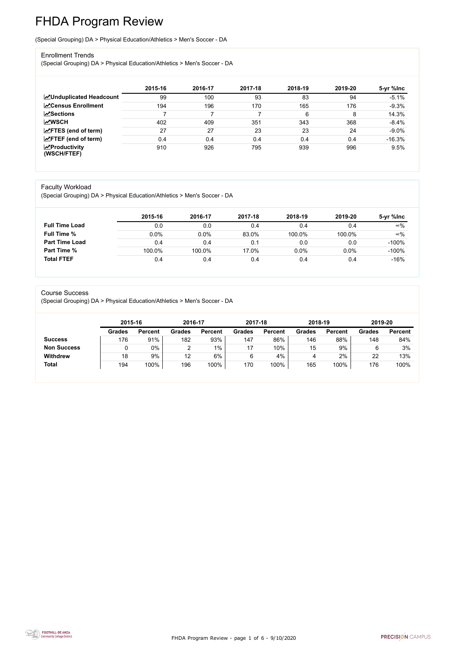FHDA Program Review - page 1 of 6 - 9/10/2020



# FHDA Program Review

(Special Grouping) DA > Physical Education/Athletics > Men's Soccer - DA

#### Enrollment Trends

(Special Grouping) DA > Physical Education/Athletics > Men's Soccer - DA

|                                          | 2015-16 | 2016-17 | 2017-18 | 2018-19 | 2019-20 | 5-yr %lnc |
|------------------------------------------|---------|---------|---------|---------|---------|-----------|
| <b>ZUnduplicated Headcount</b>           | 99      | 100     | 93      | 83      | 94      | $-5.1%$   |
| <b>ZCensus Enrollment</b>                | 194     | 196     | 170     | 165     | 176     | $-9.3%$   |
| <b>ZSections</b>                         |         |         |         | 6       | 8       | 14.3%     |
| <b>MWSCH</b>                             | 402     | 409     | 351     | 343     | 368     | $-8.4%$   |
| $\angle$ FTES (end of term)              | 27      | 27      | 23      | 23      | 24      | $-9.0%$   |
| $\angle$ FTEF (end of term)              | 0.4     | 0.4     | 0.4     | 0.4     | 0.4     | $-16.3%$  |
| $\mathbf{Z}$ Productivity<br>(WSCH/FTEF) | 910     | 926     | 795     | 939     | 996     | 9.5%      |

#### Faculty Workload

(Special Grouping) DA > Physical Education/Athletics > Men's Soccer - DA

|                       | 2015-16 | 2016-17 | 2017-18 | 2018-19 | 2019-20 | 5-yr %lnc  |
|-----------------------|---------|---------|---------|---------|---------|------------|
| <b>Full Time Load</b> | 0.0     | 0.0     | 0.4     | 0.4     | 0.4     | $\infty\%$ |
| <b>Full Time %</b>    | 0.0%    | 0.0%    | 83.0%   | 100.0%  | 100.0%  | $\infty\%$ |
| <b>Part Time Load</b> | 0.4     | 0.4     | 0.1     | 0.0     | 0.0     | $-100%$    |
| <b>Part Time %</b>    | 100.0%  | 100.0%  | 17.0%   | 0.0%    | 0.0%    | $-100%$    |
| <b>Total FTEF</b>     | 0.4     | 0.4     | 0.4     | 0.4     | 0.4     | $-16%$     |

#### Course Success

(Special Grouping) DA > Physical Education/Athletics > Men's Soccer - DA

|                    | 2015-16       |                | 2016-17 |                | 2017-18       |                | 2018-19       |                | 2019-20       |                |
|--------------------|---------------|----------------|---------|----------------|---------------|----------------|---------------|----------------|---------------|----------------|
|                    | <b>Grades</b> | <b>Percent</b> | Grades  | <b>Percent</b> | <b>Grades</b> | <b>Percent</b> | <b>Grades</b> | <b>Percent</b> | <b>Grades</b> | <b>Percent</b> |
| <b>Success</b>     | 176           | 91%            | 182     | 93%            | 147           | 86%            | 146           | 88%            | 148           | 84%            |
| <b>Non Success</b> |               | 0%             |         | $1\%$          |               | 10%            | 15            | 9%             |               | 3%             |
| <b>Withdrew</b>    | 18            | 9%             | 12      | 6%             | 6             | 4%             | 4             | 2%             | 22            | 13%            |
| <b>Total</b>       | 194           | 100%           | 196     | 100%           | 170           | 100%           | 165           | 100%           | 176           | 100%           |
|                    |               |                |         |                |               |                |               |                |               |                |

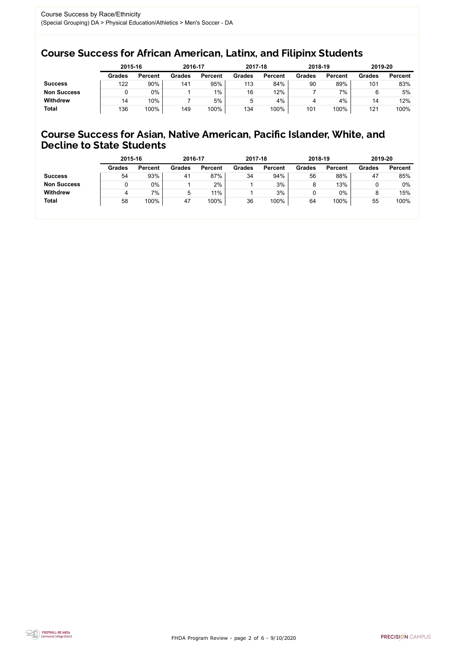FHDA Program Review - page 2 of 6 - 9/10/2020



### Course Success for African American, Latinx, and Filipinx Students

### Course Success for Asian, Native American, Pacific Islander, White, and Decline to State Students

|                    |               | 2015-16        |               | 2016-17        |               | 2017-18        | 2018-19       |                | 2019-20       |                |
|--------------------|---------------|----------------|---------------|----------------|---------------|----------------|---------------|----------------|---------------|----------------|
|                    | <b>Grades</b> | <b>Percent</b> | <b>Grades</b> | <b>Percent</b> | <b>Grades</b> | <b>Percent</b> | <b>Grades</b> | <b>Percent</b> | <b>Grades</b> | <b>Percent</b> |
| <b>Success</b>     | 122           | 90%            | 141           | 95%            | 113           | 84%            | 90            | 89%            | 101           | 83%            |
| <b>Non Success</b> |               | $0\%$          |               | $1\%$          | 16            | 12%            |               | $7\%$          |               | 5%             |
| <b>Withdrew</b>    | 14            | 10%            |               | 5%             | 5             | 4%             | 4             | 4%             | 14            | 12%            |
| <b>Total</b>       | 136           | 100%           | 149           | 100%           | 134           | 100%           | 101           | 100%           | 121           | 100%           |

|                    | 2015-16       |                | 2016-17       |                | 2017-18       |                | 2018-19       |                | 2019-20       |                |
|--------------------|---------------|----------------|---------------|----------------|---------------|----------------|---------------|----------------|---------------|----------------|
|                    | <b>Grades</b> | <b>Percent</b> | <b>Grades</b> | <b>Percent</b> | <b>Grades</b> | <b>Percent</b> | <b>Grades</b> | <b>Percent</b> | <b>Grades</b> | <b>Percent</b> |
| <b>Success</b>     | 54            | 93%            | 41            | 87%            | 34            | 94%            | 56            | 88%            | 47            | 85%            |
| <b>Non Success</b> |               | $0\%$          |               | 2%             |               | 3%             |               | 13%            |               | 0%             |
| <b>Withdrew</b>    |               | 7%             | b             | $11\%$         |               | 3%             |               | 0%             |               | 15%            |
| <b>Total</b>       | 58            | 100%           | 47            | 100%           | 36            | 100%           | 64            | 100%           | 55            | 100%           |
|                    |               |                |               |                |               |                |               |                |               |                |

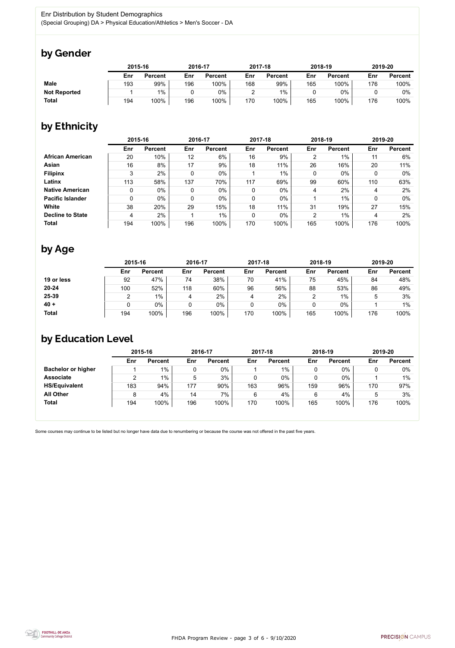FHDA Program Review - page 3 of 6 - 9/10/2020



Some courses may continue to be listed but no longer have data due to renumbering or because the course was not offered in the past five years.



## by Gender

|                     | 2015-16 |                |     | 2016-17        |     | 2017-18        |     | 2018-19        |     | 2019-20        |  |
|---------------------|---------|----------------|-----|----------------|-----|----------------|-----|----------------|-----|----------------|--|
|                     | Enr     | <b>Percent</b> | Enr | <b>Percent</b> | Enr | <b>Percent</b> | Enr | <b>Percent</b> | Enr | <b>Percent</b> |  |
| <b>Male</b>         | 193     | 99%            | 196 | 100%           | 168 | 99%            | 165 | 100%           | 176 | 100%           |  |
| <b>Not Reported</b> |         | $1\%$          |     | 0%             |     | $1\%$          |     | $0\%$          |     | 0%             |  |
| <b>Total</b>        | 194     | 100%           | 196 | '00%           | 170 | 100%           | 165 | 100%           | 176 | 100%           |  |

## by Ethnicity

|                         | 2015-16     |                |     | 2016-17        |     | 2017-18        |                | 2018-19        | 2019-20 |                |
|-------------------------|-------------|----------------|-----|----------------|-----|----------------|----------------|----------------|---------|----------------|
|                         | Enr         | <b>Percent</b> | Enr | <b>Percent</b> | Enr | <b>Percent</b> | Enr            | <b>Percent</b> | Enr     | <b>Percent</b> |
| <b>African American</b> | 20          | 10%            | 12  | 6%             | 16  | 9%             | $\overline{2}$ | $1\%$          | 11      | 6%             |
| Asian                   | 16          | 8%             | 17  | 9%             | 18  | 11%            | 26             | 16%            | 20      | 11%            |
| <b>Filipinx</b>         | 3           | 2%             | 0   | $0\%$          |     | $1\%$          | 0              | $0\%$          |         | $0\%$          |
| Latinx                  | 113         | 58%            | 137 | 70%            | 117 | 69%            | 99             | 60%            | 110     | 63%            |
| <b>Native American</b>  | $\mathbf 0$ | $0\%$          | 0   | 0%             | 0   | $0\%$          | 4              | 2%             | 4       | 2%             |
| <b>Pacific Islander</b> | $\mathbf 0$ | $0\%$          | 0   | $0\%$          | 0   | $0\%$          |                | $1\%$          |         | $0\%$          |
| White                   | 38          | 20%            | 29  | 15%            | 18  | 11%            | 31             | 19%            | 27      | 15%            |
| <b>Decline to State</b> | 4           | 2%             |     | $1\%$          | 0   | $0\%$          | $\overline{2}$ | $1\%$          | 4       | 2%             |
| <b>Total</b>            | 194         | 100%           | 196 | 100%           | 170 | 100%           | 165            | 100%           | 176     | 100%           |

## by Age

|              | 2015-16 |                |     | 2016-17        |     | 2017-18        |     | 2018-19        | 2019-20 |                |
|--------------|---------|----------------|-----|----------------|-----|----------------|-----|----------------|---------|----------------|
|              | Enr     | <b>Percent</b> | Enr | <b>Percent</b> | Enr | <b>Percent</b> | Enr | <b>Percent</b> | Enr     | <b>Percent</b> |
| 19 or less   | 92      | 47%            | 74  | 38%            | 70  | 41%            | 75  | 45%            | 84      | 48%            |
| $20 - 24$    | 100     | 52%            | 118 | 60%            | 96  | 56%            | 88  | 53%            | 86      | 49%            |
| 25-39        |         | $1\%$          |     | 2%             |     | $2\%$          |     | $1\%$          |         | 3%             |
| $40 +$       |         | 0%             |     | 0%             |     | $0\%$          |     | $0\%$          |         | $1\%$          |
| <b>Total</b> | 194     | 100%           | 196 | 100%           | 170 | 100%           | 165 | 100%           | 176     | 100%           |

## by Education Level

|                           | 2015-16 |                |     | 2016-17        |     | 2017-18        |     | 2018-19        | 2019-20 |                |
|---------------------------|---------|----------------|-----|----------------|-----|----------------|-----|----------------|---------|----------------|
|                           | Enr     | <b>Percent</b> | Enr | <b>Percent</b> | Enr | <b>Percent</b> | Enr | <b>Percent</b> | Enr     | <b>Percent</b> |
| <b>Bachelor or higher</b> |         | $1\%$          |     | 0%             |     | $1\%$          |     | $0\%$          |         | $0\%$          |
| <b>Associate</b>          |         | $1\%$          | 5   | 3%             |     | 0%             |     | $0\%$          |         | $1\%$          |
| <b>HS/Equivalent</b>      | 183     | 94%            | 177 | 90%            | 163 | 96%            | 159 | 96%            | 170     | 97%            |
| <b>All Other</b>          | 8       | 4%             | 14  | 7%             | 6   | 4%             |     | 4%             |         | 3%             |
| <b>Total</b>              | 194     | 100%           | 196 | 100%           | 170 | 100%           | 165 | 100%           | 176     | 100%           |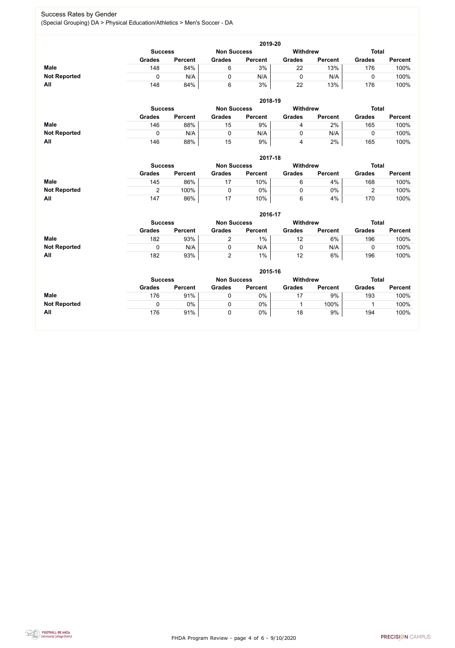FHDA Program Review - page 4 of 6 - 9/10/2020



#### Success Rates by Gender (Special Grouping) DA > Physical Education/Athletics > Men's Soccer - DA

|                     | 2019-20        |                |                    |                |                 |                |               |                |  |  |  |  |  |
|---------------------|----------------|----------------|--------------------|----------------|-----------------|----------------|---------------|----------------|--|--|--|--|--|
|                     | <b>Success</b> |                | <b>Non Success</b> |                | <b>Withdrew</b> |                | <b>Total</b>  |                |  |  |  |  |  |
|                     | <b>Grades</b>  | <b>Percent</b> | <b>Grades</b>      | <b>Percent</b> | <b>Grades</b>   | <b>Percent</b> | <b>Grades</b> | <b>Percent</b> |  |  |  |  |  |
| <b>Male</b>         | 148            | 84%            | 6                  | 3%             | 22              | 13%            | 176           | 100%           |  |  |  |  |  |
| <b>Not Reported</b> |                | N/A            |                    | N/A            |                 | N/A            |               | 100%           |  |  |  |  |  |
| <b>All</b>          | 148            | 84%            | 6                  | 3%             | 22              | 13%            | 176           | 100%           |  |  |  |  |  |

|                     | 2018-19       |                                      |               |                |               |                 |               |                |  |  |  |  |  |
|---------------------|---------------|--------------------------------------|---------------|----------------|---------------|-----------------|---------------|----------------|--|--|--|--|--|
|                     |               | <b>Non Success</b><br><b>Success</b> |               |                |               | <b>Withdrew</b> | <b>Total</b>  |                |  |  |  |  |  |
|                     | <b>Grades</b> | <b>Percent</b>                       | <b>Grades</b> | <b>Percent</b> | <b>Grades</b> | <b>Percent</b>  | <b>Grades</b> | <b>Percent</b> |  |  |  |  |  |
| <b>Male</b>         | 146           | 88%                                  | 15            | 9%             |               | 2%              | 165           | 100%           |  |  |  |  |  |
| <b>Not Reported</b> |               | N/A                                  |               | N/A            |               | N/A             |               | 100%           |  |  |  |  |  |
| All                 | 146           | 88%                                  | 15            | 9%             |               | 2%              | 165           | 100%           |  |  |  |  |  |

|                     | 2017-18       |                                      |               |                |               |                 |               |                |  |  |  |  |
|---------------------|---------------|--------------------------------------|---------------|----------------|---------------|-----------------|---------------|----------------|--|--|--|--|
|                     |               | <b>Non Success</b><br><b>Success</b> |               |                |               | <b>Withdrew</b> | <b>Total</b>  |                |  |  |  |  |
|                     | <b>Grades</b> | <b>Percent</b>                       | <b>Grades</b> | <b>Percent</b> | <b>Grades</b> | <b>Percent</b>  | <b>Grades</b> | <b>Percent</b> |  |  |  |  |
| <b>Male</b>         | 145           | 86%                                  | 17            | 10%            | 6             | 4%              | 168           | 100%           |  |  |  |  |
| <b>Not Reported</b> |               | 100%                                 |               | 0%             |               | $0\%$           |               | 100%           |  |  |  |  |
| <b>All</b>          | 147           | 86%                                  | 17            | 10%            | 6             | 4%              | 170           | 100%           |  |  |  |  |

|                     | 2016-17                                                                 |                |               |                |               |                |               |                |  |
|---------------------|-------------------------------------------------------------------------|----------------|---------------|----------------|---------------|----------------|---------------|----------------|--|
|                     | <b>Total</b><br><b>Withdrew</b><br><b>Non Success</b><br><b>Success</b> |                |               |                |               |                |               |                |  |
|                     | <b>Grades</b>                                                           | <b>Percent</b> | <b>Grades</b> | <b>Percent</b> | <b>Grades</b> | <b>Percent</b> | <b>Grades</b> | <b>Percent</b> |  |
| <b>Male</b>         | 182                                                                     | 93%            |               | $1\%$          | 12            | 6%             | 196           | 100%           |  |
| <b>Not Reported</b> |                                                                         | N/A            |               | N/A            |               | N/A            |               | 100%           |  |
| All                 | 182                                                                     | 93%            | -             | $1\%$          | 12            | 6%             | 196           | 100%           |  |

|                     | 2015-16                                                                 |                |               |                |               |                |               |                |  |
|---------------------|-------------------------------------------------------------------------|----------------|---------------|----------------|---------------|----------------|---------------|----------------|--|
|                     | <b>Withdrew</b><br><b>Total</b><br><b>Non Success</b><br><b>Success</b> |                |               |                |               |                |               |                |  |
|                     | <b>Grades</b>                                                           | <b>Percent</b> | <b>Grades</b> | <b>Percent</b> | <b>Grades</b> | <b>Percent</b> | <b>Grades</b> | <b>Percent</b> |  |
| <b>Male</b>         | 176                                                                     | 91%            |               | 0%             |               | 9%             | 193           | 100%           |  |
| <b>Not Reported</b> |                                                                         | 0%             |               | 0%             |               | 100%           |               | 100%           |  |
| All                 | 176                                                                     | 91%            | 0             | 0%             | 18            | 9%             | 194           | 100%           |  |

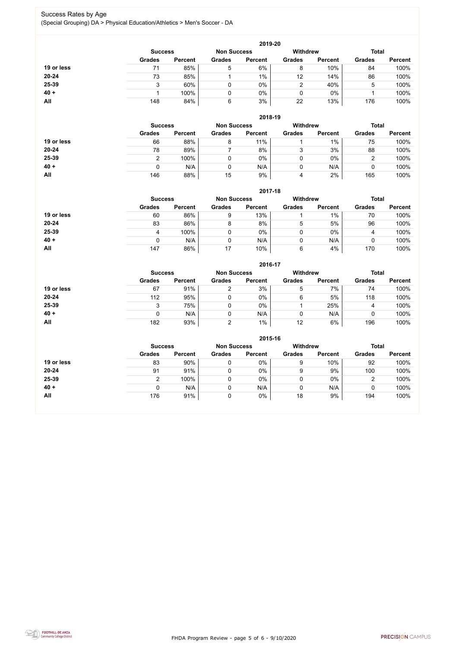FHDA Program Review - page 5 of 6 - 9/10/2020



#### Success Rates by Age (Special Grouping) DA > Physical Education/Athletics > Men's Soccer - DA

|            | 2019-20        |                    |               |                 |               |                |               |                |  |
|------------|----------------|--------------------|---------------|-----------------|---------------|----------------|---------------|----------------|--|
|            | <b>Success</b> | <b>Non Success</b> |               | <b>Withdrew</b> |               | <b>Total</b>   |               |                |  |
|            | <b>Grades</b>  | <b>Percent</b>     | <b>Grades</b> | <b>Percent</b>  | <b>Grades</b> | <b>Percent</b> | <b>Grades</b> | <b>Percent</b> |  |
| 19 or less |                | 85%                | 5             | 6%              | 8             | 10%            | 84            | 100%           |  |
| 20-24      | 73             | 85%                |               | $1\%$           | 12            | 14%            | 86            | 100%           |  |
| 25-39      |                | 60%                |               | 0%              | 2             | 40%            | 5             | 100%           |  |
| $40 +$     |                | 100%               |               | 0%              | 0             | $0\%$          |               | 100%           |  |
| <b>All</b> | 148            | 84%                | 6             | 3%              | 22            | 13%            | 176           | 100%           |  |

|            | 2018-19                              |                |               |                |                 |                |               |                |  |
|------------|--------------------------------------|----------------|---------------|----------------|-----------------|----------------|---------------|----------------|--|
|            | <b>Non Success</b><br><b>Success</b> |                |               |                | <b>Withdrew</b> |                | <b>Total</b>  |                |  |
|            | <b>Grades</b>                        | <b>Percent</b> | <b>Grades</b> | <b>Percent</b> | <b>Grades</b>   | <b>Percent</b> | <b>Grades</b> | <b>Percent</b> |  |
| 19 or less | 66                                   | 88%            | 8             | 11%            |                 | $1\%$          | 75            | 100%           |  |
| $20 - 24$  | 78                                   | 89%            |               | 8%             | 3               | 3%             | 88            | 100%           |  |
| 25-39      | າ                                    | 100%           |               | $0\%$          | 0               | $0\%$          |               | 100%           |  |
| $40 +$     | 0                                    | N/A            |               | N/A            | 0               | N/A            |               | 100%           |  |
| All        | 146                                  | 88%            | 15            | 9%             | 4               | 2%             | 165           | 100%           |  |

|            |                                                                         |                |               | 2017-18        |               |                |               |                |  |
|------------|-------------------------------------------------------------------------|----------------|---------------|----------------|---------------|----------------|---------------|----------------|--|
|            | <b>Withdrew</b><br><b>Total</b><br><b>Non Success</b><br><b>Success</b> |                |               |                |               |                |               |                |  |
|            | <b>Grades</b>                                                           | <b>Percent</b> | <b>Grades</b> | <b>Percent</b> | <b>Grades</b> | <b>Percent</b> | <b>Grades</b> | <b>Percent</b> |  |
| 19 or less | 60                                                                      | 86%            | 9             | 13%            |               | 1%             | 70            | 100%           |  |
| $20 - 24$  | 83                                                                      | 86%            | 8             | 8%             | 5             | 5%             | 96            | 100%           |  |
| 25-39      | 4                                                                       | 100%           | 0             | 0%             | 0             | $0\%$          | 4             | 100%           |  |
| $40 +$     |                                                                         | N/A            | 0             | N/A            | 0             | N/A            | ν             | 100%           |  |
| All        | 147                                                                     | 86%            | 17            | 10%            | 6             | 4%             | 170           | 100%           |  |

|            |                |                    |               | 2016-17         |               |                |               |                |
|------------|----------------|--------------------|---------------|-----------------|---------------|----------------|---------------|----------------|
|            | <b>Success</b> | <b>Non Success</b> |               | <b>Withdrew</b> |               | <b>Total</b>   |               |                |
|            | <b>Grades</b>  | <b>Percent</b>     | <b>Grades</b> | <b>Percent</b>  | <b>Grades</b> | <b>Percent</b> | <b>Grades</b> | <b>Percent</b> |
| 19 or less | 67             | 91%                | ⌒             | 3%              | 5             | 7%             | 74            | 100%           |
| $20 - 24$  | 112            | 95%                |               | 0%              | 6             | 5%             | 118           | 100%           |
| 25-39      | 3              | 75%                |               | 0%              |               | 25%            | 4             | 100%           |
| $40 +$     | 0              | N/A                |               | N/A             |               | N/A            |               | 100%           |
| All        | 182            | 93%                | ⌒             | $1\%$           | 12            | 6%             | 196           | 100%           |

|            |                                                                         |                |               | 2015-16        |               |                |               |                |
|------------|-------------------------------------------------------------------------|----------------|---------------|----------------|---------------|----------------|---------------|----------------|
|            | <b>Withdrew</b><br><b>Total</b><br><b>Non Success</b><br><b>Success</b> |                |               |                |               |                |               |                |
|            | <b>Grades</b>                                                           | <b>Percent</b> | <b>Grades</b> | <b>Percent</b> | <b>Grades</b> | <b>Percent</b> | <b>Grades</b> | <b>Percent</b> |
| 19 or less | 83                                                                      | 90%            |               | $0\%$          | 9             | 10%            | 92            | 100%           |
| $20 - 24$  | 91                                                                      | 91%            |               | $0\%$          | 9             | 9%             | 100           | 100%           |
| 25-39      | າ                                                                       | 100%           |               | $0\%$          |               | $0\%$          | 2             | 100%           |
| $40 +$     |                                                                         | N/A            |               | N/A            |               | N/A            |               | 100%           |
| <b>All</b> | 176                                                                     | 91%            |               | $0\%$          | 18            | 9%             | 194           | 100%           |